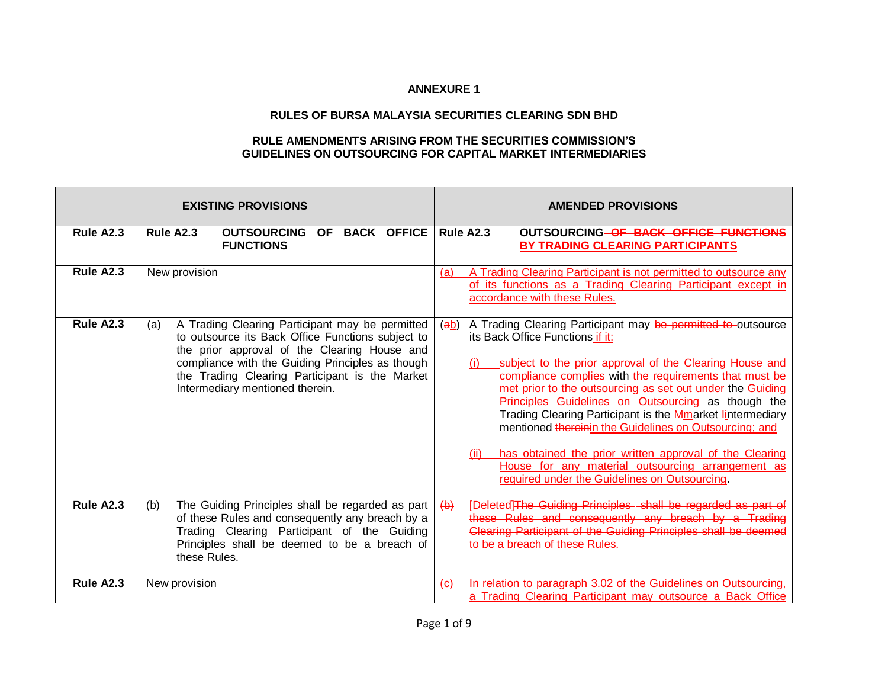## **ANNEXURE 1**

## **RULES OF BURSA MALAYSIA SECURITIES CLEARING SDN BHD**

## **RULE AMENDMENTS ARISING FROM THE SECURITIES COMMISSION'S GUIDELINES ON OUTSOURCING FOR CAPITAL MARKET INTERMEDIARIES**

|           | <b>EXISTING PROVISIONS</b>                                                                                                                                                                                                                                                                           | <b>AMENDED PROVISIONS</b>                                                                                                                                                                                                                                                                                                                                                                                                                                                                                                                                                                                                                               |
|-----------|------------------------------------------------------------------------------------------------------------------------------------------------------------------------------------------------------------------------------------------------------------------------------------------------------|---------------------------------------------------------------------------------------------------------------------------------------------------------------------------------------------------------------------------------------------------------------------------------------------------------------------------------------------------------------------------------------------------------------------------------------------------------------------------------------------------------------------------------------------------------------------------------------------------------------------------------------------------------|
| Rule A2.3 | <b>OUTSOURCING OF BACK OFFICE</b><br>Rule A2.3<br><b>FUNCTIONS</b>                                                                                                                                                                                                                                   | Rule A2.3<br><b>OUTSOURCING OF BACK OFFICE FUNCTIONS</b><br>BY TRADING CLEARING PARTICIPANTS                                                                                                                                                                                                                                                                                                                                                                                                                                                                                                                                                            |
| Rule A2.3 | New provision                                                                                                                                                                                                                                                                                        | A Trading Clearing Participant is not permitted to outsource any<br>(a)<br>of its functions as a Trading Clearing Participant except in<br>accordance with these Rules.                                                                                                                                                                                                                                                                                                                                                                                                                                                                                 |
| Rule A2.3 | A Trading Clearing Participant may be permitted<br>(a)<br>to outsource its Back Office Functions subject to<br>the prior approval of the Clearing House and<br>compliance with the Guiding Principles as though<br>the Trading Clearing Participant is the Market<br>Intermediary mentioned therein. | A Trading Clearing Participant may be permitted to outsource<br>(ab)<br>its Back Office Functions if it:<br>subject to the prior approval of the Clearing House and<br>compliance complies with the requirements that must be<br>met prior to the outsourcing as set out under the Guiding<br>Principles Guidelines on Outsourcing as though the<br>Trading Clearing Participant is the <b>Mmarket lintermediary</b><br>mentioned thereinin the Guidelines on Outsourcing; and<br>has obtained the prior written approval of the Clearing<br>(ii)<br>House for any material outsourcing arrangement as<br>required under the Guidelines on Outsourcing. |
| Rule A2.3 | The Guiding Principles shall be regarded as part<br>(b)<br>of these Rules and consequently any breach by a<br>Trading Clearing Participant of the Guiding<br>Principles shall be deemed to be a breach of<br>these Rules.                                                                            | [Deleted] The Guiding Principles shall be regarded as part of<br>$\leftrightarrow$<br>these Rules and consequently any breach by a Trading<br>Clearing Participant of the Guiding Principles shall be deemed<br>to be a breach of these Rules                                                                                                                                                                                                                                                                                                                                                                                                           |
| Rule A2.3 | New provision                                                                                                                                                                                                                                                                                        | In relation to paragraph 3.02 of the Guidelines on Outsourcing,<br>$\mathcal{C}$<br>a Trading Clearing Participant may outsource a Back Office                                                                                                                                                                                                                                                                                                                                                                                                                                                                                                          |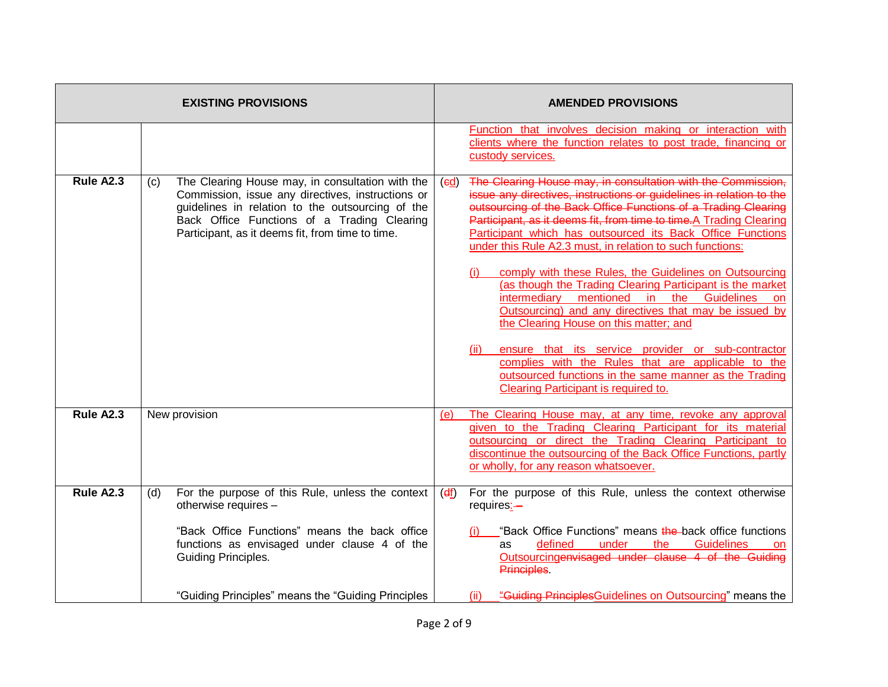| <b>EXISTING PROVISIONS</b> |     | <b>AMENDED PROVISIONS</b>                                                                                                                                                                                                                                    |                             |                                                                                                                                                                                                                                                                                                                                                                                                                                                                                                                                                                                                                                                                                                                                                                                                                                                                                                                        |
|----------------------------|-----|--------------------------------------------------------------------------------------------------------------------------------------------------------------------------------------------------------------------------------------------------------------|-----------------------------|------------------------------------------------------------------------------------------------------------------------------------------------------------------------------------------------------------------------------------------------------------------------------------------------------------------------------------------------------------------------------------------------------------------------------------------------------------------------------------------------------------------------------------------------------------------------------------------------------------------------------------------------------------------------------------------------------------------------------------------------------------------------------------------------------------------------------------------------------------------------------------------------------------------------|
|                            |     |                                                                                                                                                                                                                                                              |                             | Function that involves decision making or interaction with<br>clients where the function relates to post trade, financing or<br>custody services.                                                                                                                                                                                                                                                                                                                                                                                                                                                                                                                                                                                                                                                                                                                                                                      |
| Rule A2.3                  | (c) | The Clearing House may, in consultation with the<br>Commission, issue any directives, instructions or<br>guidelines in relation to the outsourcing of the<br>Back Office Functions of a Trading Clearing<br>Participant, as it deems fit, from time to time. | $\left(\frac{ed}{d}\right)$ | The Clearing House may, in consultation with the Commission,<br>issue any directives, instructions or guidelines in relation to the<br>outsourcing of the Back Office Functions of a Trading Clearing<br>Participant, as it deems fit, from time to time.A Trading Clearing<br>Participant which has outsourced its Back Office Functions<br>under this Rule A2.3 must, in relation to such functions:<br>comply with these Rules, the Guidelines on Outsourcing<br>(i)<br>(as though the Trading Clearing Participant is the market<br>intermediary mentioned in the Guidelines<br>on<br>Outsourcing) and any directives that may be issued by<br>the Clearing House on this matter; and<br>ensure that its service provider or sub-contractor<br>(ii)<br>complies with the Rules that are applicable to the<br>outsourced functions in the same manner as the Trading<br><b>Clearing Participant is required to.</b> |
| Rule A2.3                  |     | New provision                                                                                                                                                                                                                                                | (e)                         | The Clearing House may, at any time, revoke any approval<br>given to the Trading Clearing Participant for its material<br>outsourcing or direct the Trading Clearing Participant to<br>discontinue the outsourcing of the Back Office Functions, partly<br>or wholly, for any reason whatsoever.                                                                                                                                                                                                                                                                                                                                                                                                                                                                                                                                                                                                                       |
| Rule A2.3                  | (d) | For the purpose of this Rule, unless the context<br>otherwise requires -<br>"Back Office Functions" means the back office<br>functions as envisaged under clause 4 of the<br>Guiding Principles.                                                             | $(d_1)$                     | For the purpose of this Rule, unless the context otherwise<br>requires:-<br>"Back Office Functions" means the back office functions<br>defined<br>under the<br><b>Guidelines</b><br>as<br><b>on</b><br>Outsourcingenvisaged under clause 4 of the Guiding<br>Principles.                                                                                                                                                                                                                                                                                                                                                                                                                                                                                                                                                                                                                                               |
|                            |     | "Guiding Principles" means the "Guiding Principles                                                                                                                                                                                                           |                             | "Guiding Principles Guidelines on Outsourcing" means the<br>(ii)                                                                                                                                                                                                                                                                                                                                                                                                                                                                                                                                                                                                                                                                                                                                                                                                                                                       |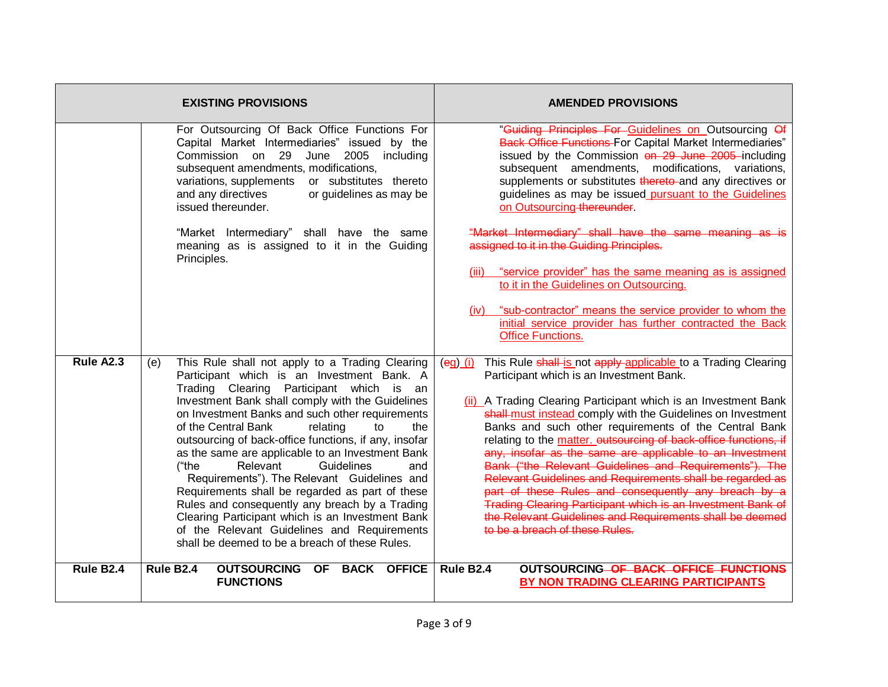| <b>EXISTING PROVISIONS</b> |                                                                                                                                                                                                                                                                                                                                                                                                                                                                                                                                                                                                                                                                                                                                                                         | <b>AMENDED PROVISIONS</b>                                                                                                                                                                                                                                                                                                                                                                                                                                                                                                                                                                                                                                                                                                                                                                           |
|----------------------------|-------------------------------------------------------------------------------------------------------------------------------------------------------------------------------------------------------------------------------------------------------------------------------------------------------------------------------------------------------------------------------------------------------------------------------------------------------------------------------------------------------------------------------------------------------------------------------------------------------------------------------------------------------------------------------------------------------------------------------------------------------------------------|-----------------------------------------------------------------------------------------------------------------------------------------------------------------------------------------------------------------------------------------------------------------------------------------------------------------------------------------------------------------------------------------------------------------------------------------------------------------------------------------------------------------------------------------------------------------------------------------------------------------------------------------------------------------------------------------------------------------------------------------------------------------------------------------------------|
|                            | For Outsourcing Of Back Office Functions For<br>Capital Market Intermediaries" issued by the<br>Commission on 29 June 2005<br>including<br>subsequent amendments, modifications,<br>variations, supplements<br>or substitutes thereto<br>and any directives<br>or guidelines as may be<br>issued thereunder.                                                                                                                                                                                                                                                                                                                                                                                                                                                            | "Guiding Principles For Guidelines on Outsourcing Of<br><b>Back Office Functions For Capital Market Intermediaries"</b><br>issued by the Commission on 29 June 2005 including<br>subsequent amendments, modifications, variations,<br>supplements or substitutes thereto-and any directives or<br>guidelines as may be issued pursuant to the Guidelines<br>on Outsourcing thereunder                                                                                                                                                                                                                                                                                                                                                                                                               |
|                            | "Market Intermediary" shall have the same<br>meaning as is assigned to it in the Guiding<br>Principles.                                                                                                                                                                                                                                                                                                                                                                                                                                                                                                                                                                                                                                                                 | "Market Intermediary" shall have the same meaning as is<br>assigned to it in the Guiding Principles.<br>(iii) "service provider" has the same meaning as is assigned<br>to it in the Guidelines on Outsourcing.                                                                                                                                                                                                                                                                                                                                                                                                                                                                                                                                                                                     |
|                            |                                                                                                                                                                                                                                                                                                                                                                                                                                                                                                                                                                                                                                                                                                                                                                         | (iv) "sub-contractor" means the service provider to whom the<br>initial service provider has further contracted the Back<br><b>Office Functions.</b>                                                                                                                                                                                                                                                                                                                                                                                                                                                                                                                                                                                                                                                |
| Rule A2.3                  | This Rule shall not apply to a Trading Clearing<br>(e)<br>Participant which is an Investment Bank. A<br>Trading Clearing Participant which is an<br>Investment Bank shall comply with the Guidelines<br>on Investment Banks and such other requirements<br>of the Central Bank<br>relating<br>the<br>to<br>outsourcing of back-office functions, if any, insofar<br>as the same are applicable to an Investment Bank<br>Relevant<br>Guidelines<br>("the<br>and<br>Requirements"). The Relevant Guidelines and<br>Requirements shall be regarded as part of these<br>Rules and consequently any breach by a Trading<br>Clearing Participant which is an Investment Bank<br>of the Relevant Guidelines and Requirements<br>shall be deemed to be a breach of these Rules. | This Rule shall-is not apply-applicable to a Trading Clearing<br>$\frac{eq}{di}$<br>Participant which is an Investment Bank.<br>(ii) A Trading Clearing Participant which is an Investment Bank<br>shall-must instead comply with the Guidelines on Investment<br>Banks and such other requirements of the Central Bank<br>relating to the matter. outsourcing of back-office functions, if<br>any, insofar as the same are applicable to an Investment<br>Bank ("the Relevant Guidelines and Requirements"). The<br>Relevant Guidelines and Requirements shall be regarded as<br>part of these Rules and consequently any breach by a<br>Trading Clearing Participant which is an Investment Bank of<br>the Relevant Guidelines and Requirements shall be deemed<br>to be a breach of these Rules. |
| Rule B <sub>2.4</sub>      | Rule B <sub>2.4</sub><br><b>OUTSOURCING</b><br><b>BACK OFFICE</b><br>OF.<br><b>FUNCTIONS</b>                                                                                                                                                                                                                                                                                                                                                                                                                                                                                                                                                                                                                                                                            | Rule B <sub>2.4</sub><br>OUTSOURCING OF BACK OFFICE FUNCTIONS<br>BY NON TRADING CLEARING PARTICIPANTS                                                                                                                                                                                                                                                                                                                                                                                                                                                                                                                                                                                                                                                                                               |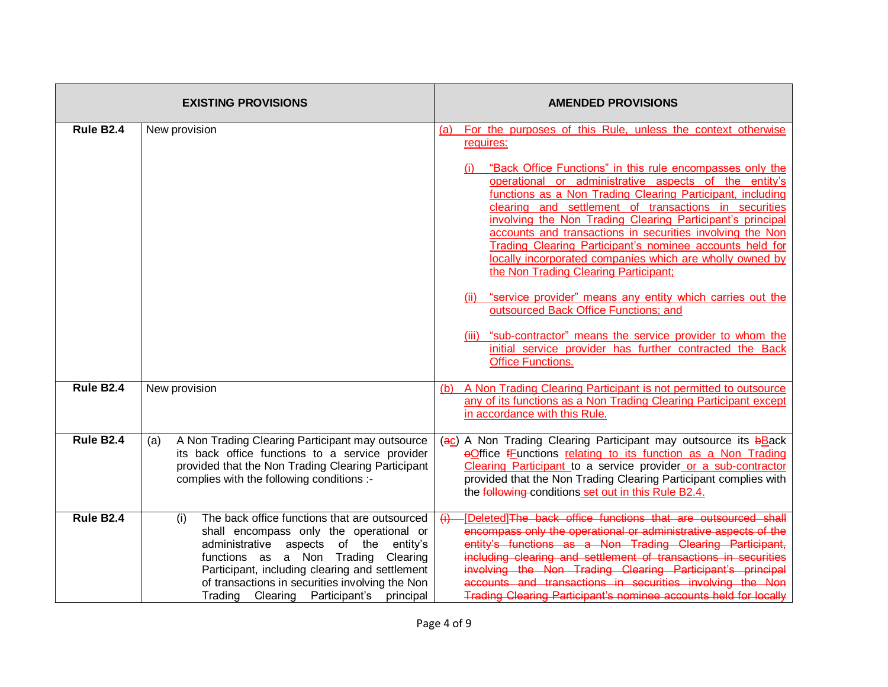| <b>EXISTING PROVISIONS</b> |                                                                                                                                                                                                                                                                                                                                      | <b>AMENDED PROVISIONS</b>                                                                                                                                                                                                                                                                                                                                                                                                                                                                                                                                                                                                                                                                                                                                                                                                                                                                      |  |
|----------------------------|--------------------------------------------------------------------------------------------------------------------------------------------------------------------------------------------------------------------------------------------------------------------------------------------------------------------------------------|------------------------------------------------------------------------------------------------------------------------------------------------------------------------------------------------------------------------------------------------------------------------------------------------------------------------------------------------------------------------------------------------------------------------------------------------------------------------------------------------------------------------------------------------------------------------------------------------------------------------------------------------------------------------------------------------------------------------------------------------------------------------------------------------------------------------------------------------------------------------------------------------|--|
| Rule B <sub>2.4</sub>      | New provision                                                                                                                                                                                                                                                                                                                        | For the purposes of this Rule, unless the context otherwise<br>(a)<br>requires:<br>"Back Office Functions" in this rule encompasses only the<br>operational or administrative aspects of the entity's<br>functions as a Non Trading Clearing Participant, including<br>clearing and settlement of transactions in securities<br>involving the Non Trading Clearing Participant's principal<br>accounts and transactions in securities involving the Non<br><b>Trading Clearing Participant's nominee accounts held for</b><br>locally incorporated companies which are wholly owned by<br>the Non Trading Clearing Participant;<br>"service provider" means any entity which carries out the<br>outsourced Back Office Functions; and<br>(iii) "sub-contractor" means the service provider to whom the<br>initial service provider has further contracted the Back<br><b>Office Functions.</b> |  |
| Rule B <sub>2.4</sub>      | New provision                                                                                                                                                                                                                                                                                                                        | A Non Trading Clearing Participant is not permitted to outsource<br>(b)<br>any of its functions as a Non Trading Clearing Participant except<br>in accordance with this Rule.                                                                                                                                                                                                                                                                                                                                                                                                                                                                                                                                                                                                                                                                                                                  |  |
| Rule B2.4                  | A Non Trading Clearing Participant may outsource<br>(a)<br>its back office functions to a service provider<br>provided that the Non Trading Clearing Participant<br>complies with the following conditions :-                                                                                                                        | (ac) A Non Trading Clearing Participant may outsource its bBack<br>eOffice fFunctions relating to its function as a Non Trading<br>Clearing Participant to a service provider or a sub-contractor<br>provided that the Non Trading Clearing Participant complies with<br>the following conditions set out in this Rule B2.4.                                                                                                                                                                                                                                                                                                                                                                                                                                                                                                                                                                   |  |
| Rule B <sub>2.4</sub>      | The back office functions that are outsourced<br>(i)<br>shall encompass only the operational or<br>administrative aspects of the<br>entity's<br>functions as a Non Trading Clearing<br>Participant, including clearing and settlement<br>of transactions in securities involving the Non<br>Trading Clearing Participant's principal | [Deleted]The back office functions that are outsourced shall<br>$\leftrightarrow$<br>encompass only the operational or administrative aspects of the<br>entity's functions as a Non Trading Clearing Participant,<br>including clearing and settlement of transactions in securities<br>involving the Non Trading Clearing Participant's principal<br>accounts and transactions in securities involving the Non<br><b>Trading Clearing Participant's nominee accounts held for locally</b>                                                                                                                                                                                                                                                                                                                                                                                                     |  |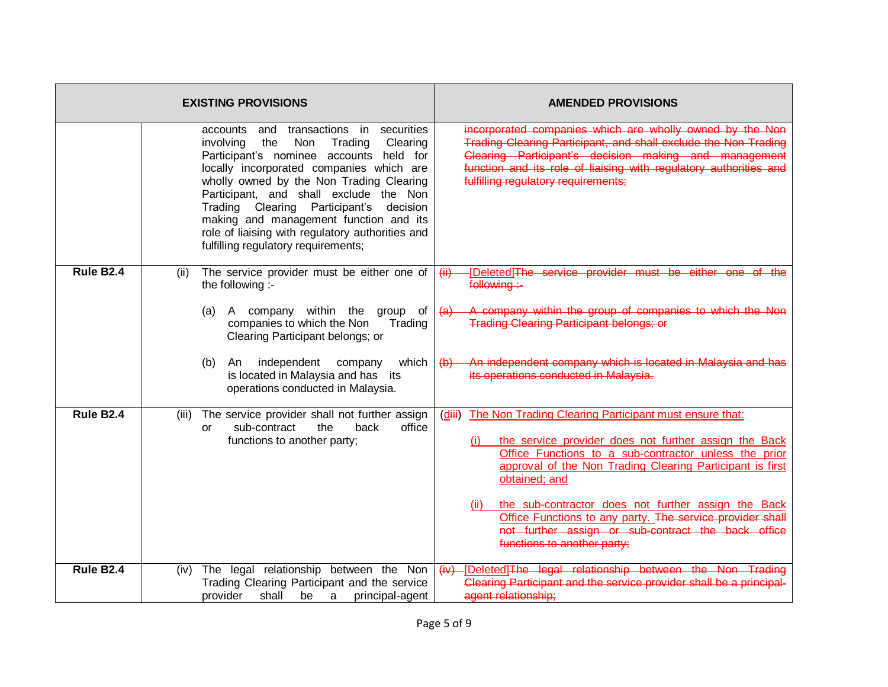| <b>EXISTING PROVISIONS</b> |       |                                                                                                                                                                                                                                                                                                                                                                                                                                                                    | <b>AMENDED PROVISIONS</b>                                                                                                                                                                                                                                                                                                              |
|----------------------------|-------|--------------------------------------------------------------------------------------------------------------------------------------------------------------------------------------------------------------------------------------------------------------------------------------------------------------------------------------------------------------------------------------------------------------------------------------------------------------------|----------------------------------------------------------------------------------------------------------------------------------------------------------------------------------------------------------------------------------------------------------------------------------------------------------------------------------------|
|                            |       | securities<br>transactions in<br>accounts<br>and<br>involving<br>the<br>Non<br>Trading<br>Clearing<br>Participant's nominee accounts held for<br>locally incorporated companies which are<br>wholly owned by the Non Trading Clearing<br>Participant, and shall exclude the Non<br>Trading Clearing Participant's<br>decision<br>making and management function and its<br>role of liaising with regulatory authorities and<br>fulfilling regulatory requirements; | incorporated companies which are wholly owned by the Non<br>Trading Clearing Participant, and shall exclude the Non Trading<br>Clearing Participant's decision making and management<br>function and its role of liaising with regulatory authorities and<br>fulfilling regulatory requirements;                                       |
| Rule B <sub>2.4</sub>      | (ii)  | The service provider must be either one of<br>the following :-<br>A company within the<br>(a)<br>group<br>of<br>companies to which the Non<br>Trading<br>Clearing Participant belongs; or                                                                                                                                                                                                                                                                          | [Deleted]The service provider must be either one<br>(ii)<br><del>of the</del><br>following:-<br>A company within the group of companies to which the Non<br>$\left( a\right)$<br><b>Trading Clearing Participant belongs; or</b>                                                                                                       |
|                            |       | independent<br>which<br>(b)<br>An<br>company<br>is located in Malaysia and has its<br>operations conducted in Malaysia.                                                                                                                                                                                                                                                                                                                                            | An independent company which is located in Malaysia and has<br>$\leftrightarrow$<br>its operations conducted in Malaysia.                                                                                                                                                                                                              |
| Rule B <sub>2.4</sub>      | (iii) | The service provider shall not further assign<br>office<br>sub-contract<br>the<br>back<br>0r<br>functions to another party;                                                                                                                                                                                                                                                                                                                                        | The Non Trading Clearing Participant must ensure that:<br>(diii)<br>the service provider does not further assign the Back<br>(i)<br>Office Functions to a sub-contractor unless the prior<br>approval of the Non Trading Clearing Participant is first<br>obtained; and<br>the sub-contractor does not further assign the Back<br>(ii) |
|                            |       |                                                                                                                                                                                                                                                                                                                                                                                                                                                                    | Office Functions to any party. The service provider shall<br>not further assign or sub-contract the back office<br>functions to another party;                                                                                                                                                                                         |
| Rule B <sub>2.4</sub>      |       | (iv) The legal relationship between the Non<br>Trading Clearing Participant and the service<br>provider<br>principal-agent<br>shall<br>be<br>a                                                                                                                                                                                                                                                                                                                     | (iv) [Deleted]The legal relationship between the Non Trading<br>Clearing Participant and the service provider shall be a principal-<br>agent relationship;                                                                                                                                                                             |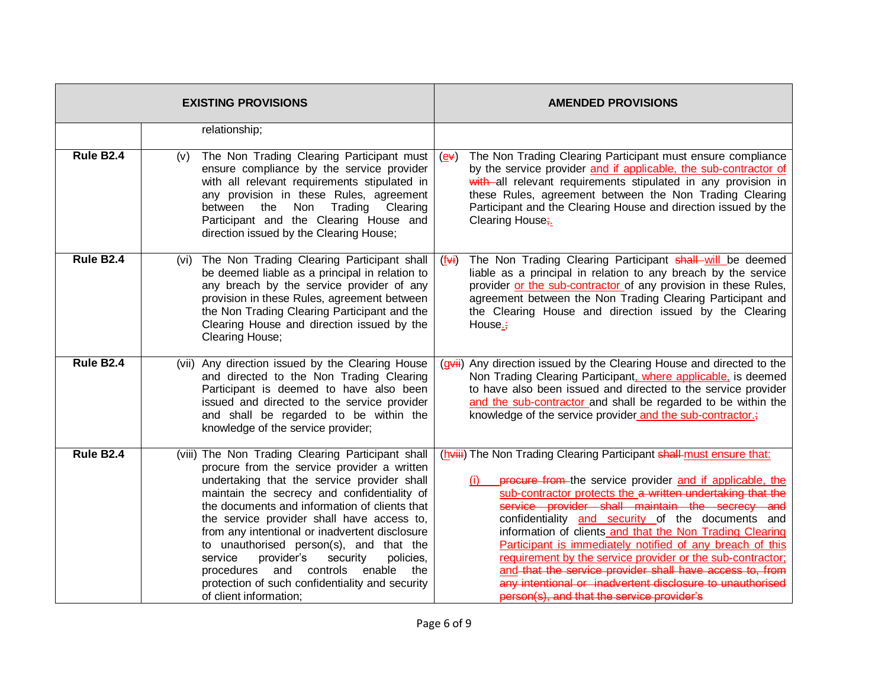| <b>EXISTING PROVISIONS</b> |                                                                                                                                                                                                                                                                                                                                                                                                                                                                                                                                                                             | <b>AMENDED PROVISIONS</b>                                                                                                                                                                                                                                                                                                                                                                                                                                                                                                                                                                                                                                            |
|----------------------------|-----------------------------------------------------------------------------------------------------------------------------------------------------------------------------------------------------------------------------------------------------------------------------------------------------------------------------------------------------------------------------------------------------------------------------------------------------------------------------------------------------------------------------------------------------------------------------|----------------------------------------------------------------------------------------------------------------------------------------------------------------------------------------------------------------------------------------------------------------------------------------------------------------------------------------------------------------------------------------------------------------------------------------------------------------------------------------------------------------------------------------------------------------------------------------------------------------------------------------------------------------------|
|                            | relationship;                                                                                                                                                                                                                                                                                                                                                                                                                                                                                                                                                               |                                                                                                                                                                                                                                                                                                                                                                                                                                                                                                                                                                                                                                                                      |
| Rule B2.4                  | The Non Trading Clearing Participant must<br>(v)<br>ensure compliance by the service provider<br>with all relevant requirements stipulated in<br>any provision in these Rules, agreement<br>between<br>the<br>Non<br>Trading<br>Clearing<br>Participant and the Clearing House and<br>direction issued by the Clearing House;                                                                                                                                                                                                                                               | The Non Trading Clearing Participant must ensure compliance<br>$\left(\underline{\mathbf{e}}\mathbf{v}\right)$<br>by the service provider and if applicable, the sub-contractor of<br>with all relevant requirements stipulated in any provision in<br>these Rules, agreement between the Non Trading Clearing<br>Participant and the Clearing House and direction issued by the<br>Clearing House;                                                                                                                                                                                                                                                                  |
| <b>Rule B2.4</b>           | The Non Trading Clearing Participant shall<br>(vi)<br>be deemed liable as a principal in relation to<br>any breach by the service provider of any<br>provision in these Rules, agreement between<br>the Non Trading Clearing Participant and the<br>Clearing House and direction issued by the<br>Clearing House;                                                                                                                                                                                                                                                           | The Non Trading Clearing Participant shall will be deemed<br>$(f\leftrightarrow i)$<br>liable as a principal in relation to any breach by the service<br>provider or the sub-contractor of any provision in these Rules,<br>agreement between the Non Trading Clearing Participant and<br>the Clearing House and direction issued by the Clearing<br>House. $\div$                                                                                                                                                                                                                                                                                                   |
| Rule B <sub>2.4</sub>      | (vii) Any direction issued by the Clearing House<br>and directed to the Non Trading Clearing<br>Participant is deemed to have also been<br>issued and directed to the service provider<br>and shall be regarded to be within the<br>knowledge of the service provider;                                                                                                                                                                                                                                                                                                      | (gvii) Any direction issued by the Clearing House and directed to the<br>Non Trading Clearing Participant, where applicable, is deemed<br>to have also been issued and directed to the service provider<br>and the sub-contractor and shall be regarded to be within the<br>knowledge of the service provider and the sub-contractor.;                                                                                                                                                                                                                                                                                                                               |
| <b>Rule B2.4</b>           | (viii) The Non Trading Clearing Participant shall<br>procure from the service provider a written<br>undertaking that the service provider shall<br>maintain the secrecy and confidentiality of<br>the documents and information of clients that<br>the service provider shall have access to,<br>from any intentional or inadvertent disclosure<br>to unauthorised person(s), and that the<br>provider's<br>policies,<br>service<br>security<br>controls<br>and<br>enable<br>procedures<br>the<br>protection of such confidentiality and security<br>of client information; | (hviii) The Non Trading Clearing Participant shall-must ensure that:<br>procure from the service provider and if applicable, the<br>sub-contractor protects the a written undertaking that the<br>service provider shall maintain the secrecy and<br>confidentiality and security of the documents and<br>information of clients and that the Non Trading Clearing<br>Participant is immediately notified of any breach of this<br>requirement by the service provider or the sub-contractor;<br>and that the service provider shall have access to, from<br>any intentional or inadvertent disclosure to unauthorised<br>person(s), and that the service provider's |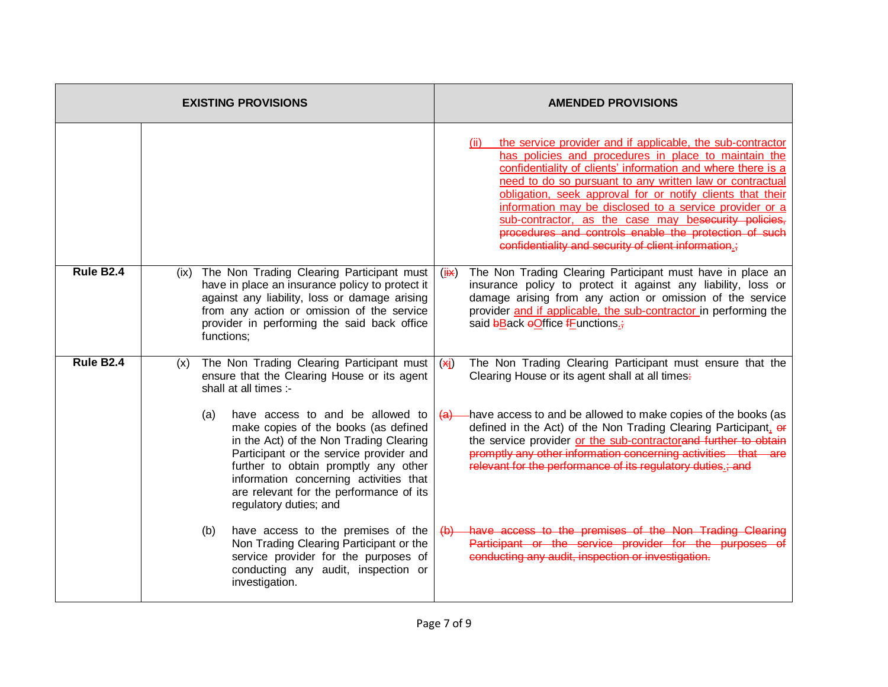|                       |      | <b>EXISTING PROVISIONS</b>                                                                                                                                                                                                                                                                                                   | <b>AMENDED PROVISIONS</b>                                                                                                                                                                                                                                                                                                                                                                                                                                                                                                                                |  |
|-----------------------|------|------------------------------------------------------------------------------------------------------------------------------------------------------------------------------------------------------------------------------------------------------------------------------------------------------------------------------|----------------------------------------------------------------------------------------------------------------------------------------------------------------------------------------------------------------------------------------------------------------------------------------------------------------------------------------------------------------------------------------------------------------------------------------------------------------------------------------------------------------------------------------------------------|--|
|                       |      |                                                                                                                                                                                                                                                                                                                              | the service provider and if applicable, the sub-contractor<br>(ii)<br>has policies and procedures in place to maintain the<br>confidentiality of clients' information and where there is a<br>need to do so pursuant to any written law or contractual<br>obligation, seek approval for or notify clients that their<br>information may be disclosed to a service provider or a<br>sub-contractor, as the case may besecurity policies,<br>procedures and controls enable the protection of such<br>confidentiality and security of client information.; |  |
| Rule B2.4             | (ix) | The Non Trading Clearing Participant must<br>have in place an insurance policy to protect it<br>against any liability, loss or damage arising<br>from any action or omission of the service<br>provider in performing the said back office<br>functions;                                                                     | The Non Trading Clearing Participant must have in place an<br>$(i\mathbf{H})$<br>insurance policy to protect it against any liability, loss or<br>damage arising from any action or omission of the service<br>provider and if applicable, the sub-contractor in performing the<br>said bBack oOffice fFunctions.                                                                                                                                                                                                                                        |  |
| Rule B <sub>2.4</sub> | (x)  | The Non Trading Clearing Participant must<br>ensure that the Clearing House or its agent<br>shall at all times :-                                                                                                                                                                                                            | The Non Trading Clearing Participant must ensure that the<br>(x <sub>i</sub> )<br>Clearing House or its agent shall at all times-                                                                                                                                                                                                                                                                                                                                                                                                                        |  |
|                       |      | have access to and be allowed to<br>(a)<br>make copies of the books (as defined<br>in the Act) of the Non Trading Clearing<br>Participant or the service provider and<br>further to obtain promptly any other<br>information concerning activities that<br>are relevant for the performance of its<br>regulatory duties; and | -have access to and be allowed to make copies of the books (as<br><del>(a)</del><br>defined in the Act) of the Non Trading Clearing Participant, or<br>the service provider or the sub-contractorand further to obtain<br>promptly any other information concerning activities that are<br>relevant for the performance of its regulatory duties.; and                                                                                                                                                                                                   |  |
|                       |      | have access to the premises of the<br>(b)<br>Non Trading Clearing Participant or the<br>service provider for the purposes of<br>conducting any audit, inspection or<br>investigation.                                                                                                                                        | have access to the premises of the Non Trading Clearing<br>$\leftrightarrow$<br>Participant or the service provider for the purposes of<br>conducting any audit, inspection or investigation.                                                                                                                                                                                                                                                                                                                                                            |  |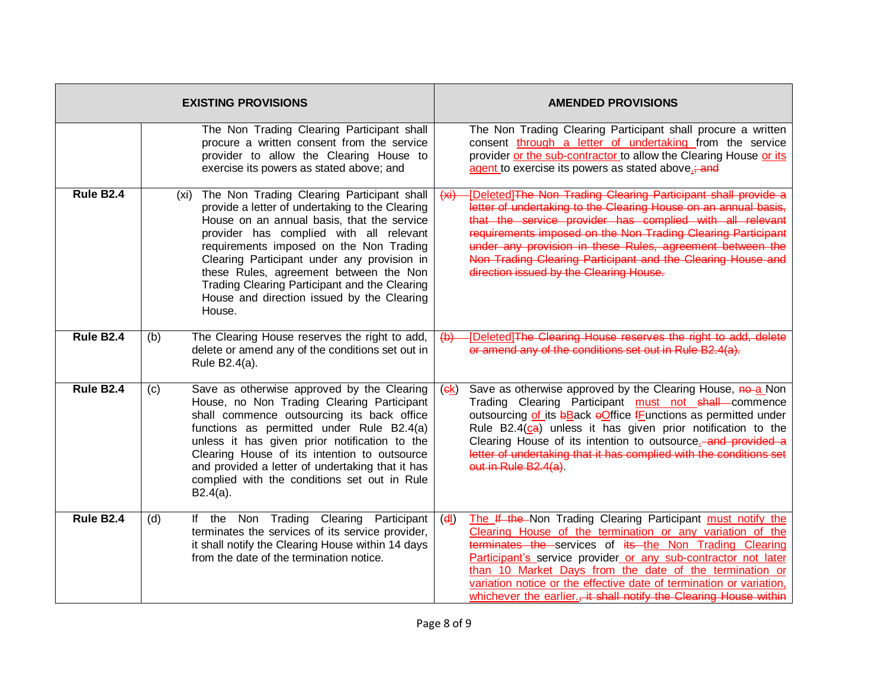| <b>EXISTING PROVISIONS</b> |                                                                                                                                                                                                                                                                                                                                                                                                                                             | <b>AMENDED PROVISIONS</b>                                                                                                                                                                                                                                                                                                                                                                                                                                           |  |
|----------------------------|---------------------------------------------------------------------------------------------------------------------------------------------------------------------------------------------------------------------------------------------------------------------------------------------------------------------------------------------------------------------------------------------------------------------------------------------|---------------------------------------------------------------------------------------------------------------------------------------------------------------------------------------------------------------------------------------------------------------------------------------------------------------------------------------------------------------------------------------------------------------------------------------------------------------------|--|
|                            | The Non Trading Clearing Participant shall<br>procure a written consent from the service<br>provider to allow the Clearing House to<br>exercise its powers as stated above; and                                                                                                                                                                                                                                                             | The Non Trading Clearing Participant shall procure a written<br>consent through a letter of undertaking from the service<br>provider or the sub-contractor to allow the Clearing House or its<br>agent to exercise its powers as stated above.; and                                                                                                                                                                                                                 |  |
| Rule B <sub>2.4</sub>      | The Non Trading Clearing Participant shall<br>(xi)<br>provide a letter of undertaking to the Clearing<br>House on an annual basis, that the service<br>provider has complied with all relevant<br>requirements imposed on the Non Trading<br>Clearing Participant under any provision in<br>these Rules, agreement between the Non<br>Trading Clearing Participant and the Clearing<br>House and direction issued by the Clearing<br>House. | [Deleted] The Non Trading Clearing Participant shall provide a<br>(x)<br>letter of undertaking to the Clearing House on an annual basis,<br>that the service provider has complied with all relevant<br>requirements imposed on the Non-Trading Clearing Participant<br>under any provision in these Rules, agreement between the<br>Non Trading Clearing Participant and the Clearing House and<br>direction issued by the Clearing House.                         |  |
| <b>Rule B2.4</b>           | The Clearing House reserves the right to add,<br>(b)<br>delete or amend any of the conditions set out in<br>Rule B2.4(a).                                                                                                                                                                                                                                                                                                                   | -[Deleted]The Clearing House reserves the right to add, delete<br>$\left(\theta\right)$<br>or amend any of the conditions set out in Rule B2.4(a).                                                                                                                                                                                                                                                                                                                  |  |
| Rule B <sub>2.4</sub>      | Save as otherwise approved by the Clearing<br>(c)<br>House, no Non Trading Clearing Participant<br>shall commence outsourcing its back office<br>functions as permitted under Rule B2.4(a)<br>unless it has given prior notification to the<br>Clearing House of its intention to outsource<br>and provided a letter of undertaking that it has<br>complied with the conditions set out in Rule<br>$B2.4(a)$ .                              | Save as otherwise approved by the Clearing House, no-a Non<br>(ek)<br>Trading Clearing Participant must not shall commence<br>outsourcing of its bBack oOffice fFunctions as permitted under<br>Rule B2.4(ca) unless it has given prior notification to the<br>Clearing House of its intention to outsource. and provided a<br>letter of undertaking that it has complied with the conditions set<br>out in Rule B2.4(a).                                           |  |
| <b>Rule B2.4</b>           | If the Non Trading Clearing Participant<br>(d)<br>terminates the services of its service provider,<br>it shall notify the Clearing House within 14 days<br>from the date of the termination notice.                                                                                                                                                                                                                                         | The If the Non Trading Clearing Participant must notify the<br>(d)<br>Clearing House of the termination or any variation of the<br>terminates the services of its the Non Trading Clearing<br>Participant's service provider or any sub-contractor not later<br>than 10 Market Days from the date of the termination or<br>variation notice or the effective date of termination or variation,<br>whichever the earlier., it shall notify the Clearing House within |  |